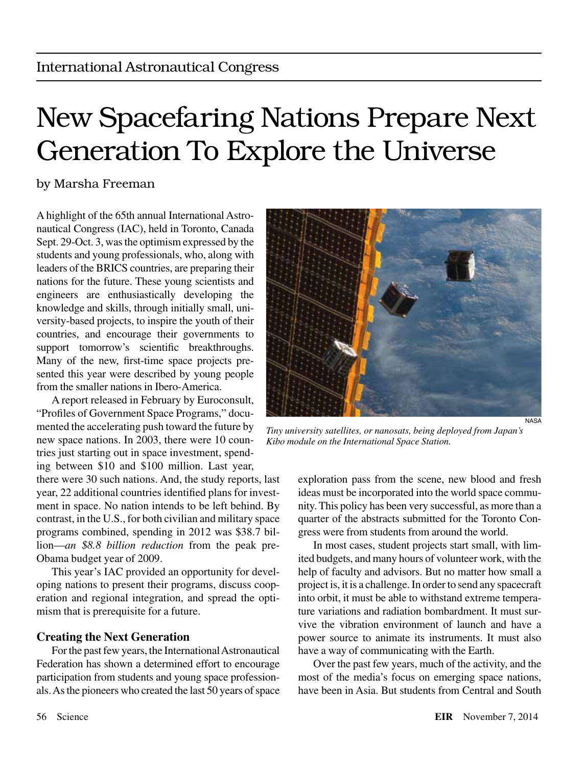# New Spacefaring Nations Prepare Next Generation To Explore the Universe

### by Marsha Freeman

A highlight of the 65th annual International Astronautical Congress (IAC), held in Toronto, Canada Sept. 29-Oct. 3, was the optimism expressed by the students and young professionals, who, along with leaders of the BRICS countries, are preparing their nations for the future. These young scientists and engineers are enthusiastically developing the knowledge and skills, through initially small, university-based projects, to inspire the youth of their countries, and encourage their governments to support tomorrow's scientific breakthroughs. Many of the new, first-time space projects presented this year were described by young people from the smaller nations in Ibero-America.

A report released in February by Euroconsult, "Profiles of Government Space Programs," documented the accelerating push toward the future by new space nations. In 2003, there were 10 countries just starting out in space investment, spending between \$10 and \$100 million. Last year,

there were 30 such nations. And, the study reports, last year, 22 additional countries identified plans for investment in space. No nation intends to be left behind. By contrast, in the U.S., for both civilian and military space programs combined, spending in 2012 was \$38.7 billion—*an \$8.8 billion reduction* from the peak pre-Obama budget year of 2009.

This year's IAC provided an opportunity for developing nations to present their programs, discuss cooperation and regional integration, and spread the optimism that is prerequisite for a future.

#### **Creating the Next Generation**

For the past few years, the International Astronautical Federation has shown a determined effort to encourage participation from students and young space professionals. As the pioneers who created the last 50 years of space



*Tiny university satellites, or nanosats, being deployed from Japan's Kibo module on the International Space Station.*

exploration pass from the scene, new blood and fresh ideas must be incorporated into the world space community. This policy has been very successful, as more than a quarter of the abstracts submitted for the Toronto Congress were from students from around the world.

In most cases, student projects start small, with limited budgets, and many hours of volunteer work, with the help of faculty and advisors. But no matter how small a project is, it is a challenge. In order to send any spacecraft into orbit, it must be able to withstand extreme temperature variations and radiation bombardment. It must survive the vibration environment of launch and have a power source to animate its instruments. It must also have a way of communicating with the Earth.

Over the past few years, much of the activity, and the most of the media's focus on emerging space nations, have been in Asia. But students from Central and South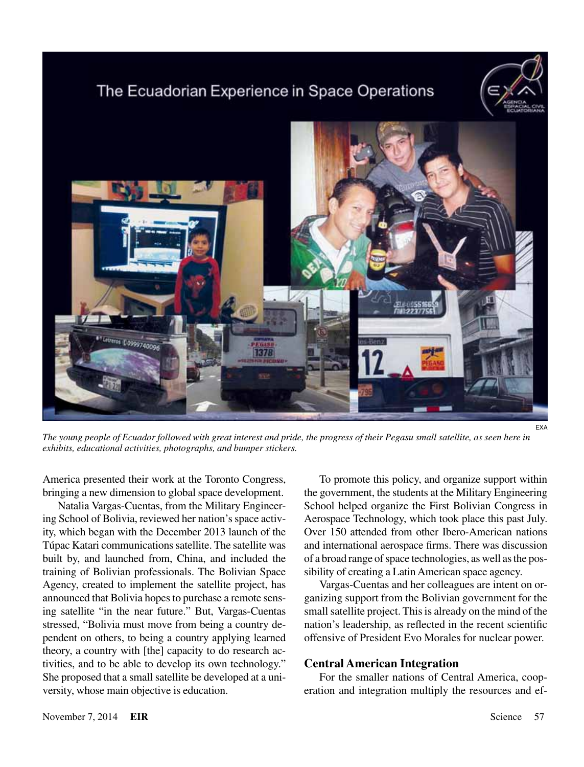## The Ecuadorian Experience in Space Operations





*The young people of Ecuador followed with great interest and pride, the progress of their Pegasu small satellite, as seen here in exhibits, educational activities, photographs, and bumper stickers.*

America presented their work at the Toronto Congress, bringing a new dimension to global space development.

Natalia Vargas-Cuentas, from the Military Engineering School of Bolivia, reviewed her nation's space activity, which began with the December 2013 launch of the Túpac Katari communications satellite. The satellite was built by, and launched from, China, and included the training of Bolivian professionals. The Bolivian Space Agency, created to implement the satellite project, has announced that Bolivia hopes to purchase a remote sensing satellite "in the near future." But, Vargas-Cuentas stressed, "Bolivia must move from being a country dependent on others, to being a country applying learned theory, a country with [the] capacity to do research activities, and to be able to develop its own technology." She proposed that a small satellite be developed at a university, whose main objective is education.

To promote this policy, and organize support within the government, the students at the Military Engineering School helped organize the First Bolivian Congress in Aerospace Technology, which took place this past July. Over 150 attended from other Ibero-American nations and international aerospace firms. There was discussion of a broad range of space technologies, as well as the possibility of creating a Latin American space agency.

Vargas-Cuentas and her colleagues are intent on organizing support from the Bolivian government for the small satellite project. This is already on the mind of the nation's leadership, as reflected in the recent scientific offensive of President Evo Morales for nuclear power.

#### **Central American Integration**

For the smaller nations of Central America, cooperation and integration multiply the resources and ef-

EXA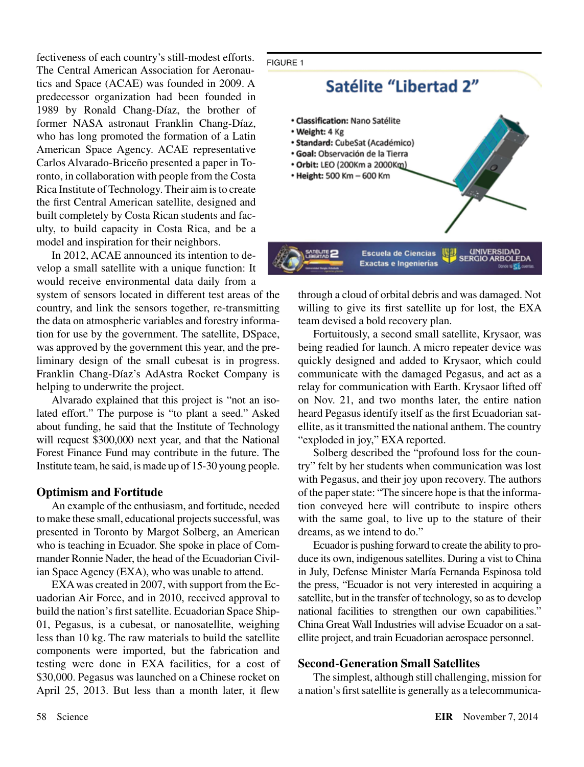fectiveness of each country's still-modest efforts. The Central American Association for Aeronautics and Space (ACAE) was founded in 2009. A predecessor organization had been founded in 1989 by Ronald Chang-Díaz, the brother of former NASA astronaut Franklin Chang-Díaz, who has long promoted the formation of a Latin American Space Agency. ACAE representative Carlos Alvarado-Briceño presented a paper in Toronto, in collaboration with people from the Costa Rica Institute of Technology. Their aim is to create the first Central American satellite, designed and built completely by Costa Rican students and faculty, to build capacity in Costa Rica, and be a model and inspiration for their neighbors.

In 2012, ACAE announced its intention to develop a small satellite with a unique function: It would receive environmental data daily from a system of sensors located in different test areas of the country, and link the sensors together, re-transmitting the data on atmospheric variables and forestry information for use by the government. The satellite, DSpace, was approved by the government this year, and the pre-

liminary design of the small cubesat is in progress. Franklin Chang-Díaz's AdAstra Rocket Company is helping to underwrite the project.

Alvarado explained that this project is "not an isolated effort." The purpose is "to plant a seed." Asked about funding, he said that the Institute of Technology will request \$300,000 next year, and that the National Forest Finance Fund may contribute in the future. The Institute team, he said, is made up of 15-30 young people.

#### **Optimism and Fortitude**

An example of the enthusiasm, and fortitude, needed to make these small, educational projects successful, was presented in Toronto by Margot Solberg, an American who is teaching in Ecuador. She spoke in place of Commander Ronnie Nader, the head of the Ecuadorian Civilian Space Agency (EXA), who was unable to attend.

EXA was created in 2007, with support from the Ecuadorian Air Force, and in 2010, received approval to build the nation's first satellite. Ecuadorian Space Ship-01, Pegasus, is a cubesat, or nanosatellite, weighing less than 10 kg. The raw materials to build the satellite components were imported, but the fabrication and testing were done in EXA facilities, for a cost of \$30,000. Pegasus was launched on a Chinese rocket on April 25, 2013. But less than a month later, it flew

#### FIGURE 1



through a cloud of orbital debris and was damaged. Not willing to give its first satellite up for lost, the EXA team devised a bold recovery plan.

Fortuitously, a second small satellite, Krysaor, was being readied for launch. A micro repeater device was quickly designed and added to Krysaor, which could communicate with the damaged Pegasus, and act as a relay for communication with Earth. Krysaor lifted off on Nov. 21, and two months later, the entire nation heard Pegasus identify itself as the first Ecuadorian satellite, as it transmitted the national anthem. The country "exploded in joy," EXA reported.

Solberg described the "profound loss for the country" felt by her students when communication was lost with Pegasus, and their joy upon recovery. The authors of the paper state: "The sincere hope is that the information conveyed here will contribute to inspire others with the same goal, to live up to the stature of their dreams, as we intend to do."

Ecuador is pushing forward to create the ability to produce its own, indigenous satellites. During a vist to China in July, Defense Minister María Fernanda Espinosa told the press, "Ecuador is not very interested in acquiring a satellite, but in the transfer of technology, so as to develop national facilities to strengthen our own capabilities." China Great Wall Industries will advise Ecuador on a satellite project, and train Ecuadorian aerospace personnel.

#### **Second-Generation Small Satellites**

The simplest, although still challenging, mission for a nation's first satellite is generally as a telecommunica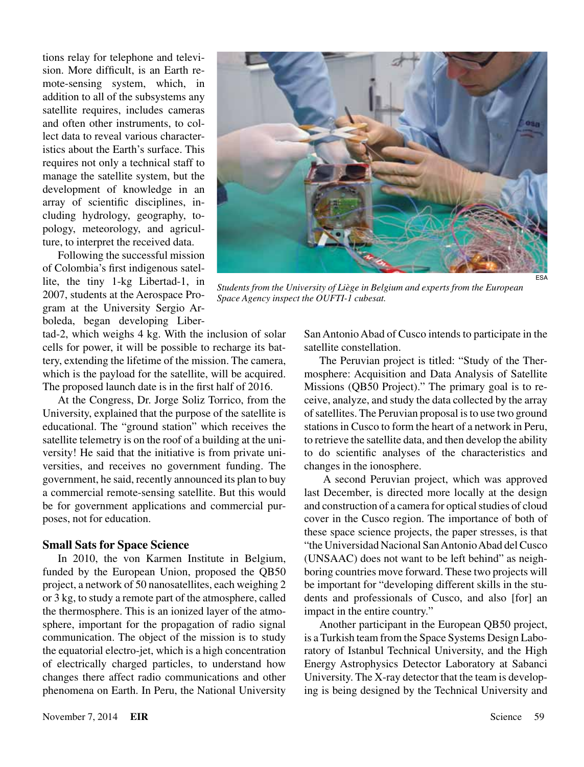tions relay for telephone and television. More difficult, is an Earth remote-sensing system, which, in addition to all of the subsystems any satellite requires, includes cameras and often other instruments, to collect data to reveal various characteristics about the Earth's surface. This requires not only a technical staff to manage the satellite system, but the development of knowledge in an array of scientific disciplines, including hydrology, geography, topology, meteorology, and agriculture, to interpret the received data.

Following the successful mission of Colombia's first indigenous satellite, the tiny 1-kg Libertad-1, in 2007, students at the Aerospace Program at the University Sergio Arboleda, began developing Liber-



*Students from the University of Liège in Belgium and experts from the European Space Agency inspect the OUFTI-1 cubesat.*

tad-2, which weighs 4 kg. With the inclusion of solar cells for power, it will be possible to recharge its battery, extending the lifetime of the mission. The camera, which is the payload for the satellite, will be acquired. The proposed launch date is in the first half of 2016.

At the Congress, Dr. Jorge Soliz Torrico, from the University, explained that the purpose of the satellite is educational. The "ground station" which receives the satellite telemetry is on the roof of a building at the university! He said that the initiative is from private universities, and receives no government funding. The government, he said, recently announced its plan to buy a commercial remote-sensing satellite. But this would be for government applications and commercial purposes, not for education.

#### **Small Sats for Space Science**

In 2010, the von Karmen Institute in Belgium, funded by the European Union, proposed the QB50 project, a network of 50 nanosatellites, each weighing 2 or 3 kg, to study a remote part of the atmosphere, called the thermosphere. This is an ionized layer of the atmosphere, important for the propagation of radio signal communication. The object of the mission is to study the equatorial electro-jet, which is a high concentration of electrically charged particles, to understand how changes there affect radio communications and other phenomena on Earth. In Peru, the National University

San Antonio Abad of Cusco intends to participate in the satellite constellation.

The Peruvian project is titled: "Study of the Thermosphere: Acquisition and Data Analysis of Satellite Missions (QB50 Project)." The primary goal is to receive, analyze, and study the data collected by the array of satellites. The Peruvian proposal is to use two ground stations in Cusco to form the heart of a network in Peru, to retrieve the satellite data, and then develop the ability to do scientific analyses of the characteristics and changes in the ionosphere.

 A second Peruvian project, which was approved last December, is directed more locally at the design and construction of a camera for optical studies of cloud cover in the Cusco region. The importance of both of these space science projects, the paper stresses, is that "the Universidad Nacional San Antonio Abad del Cusco (UNSAAC) does not want to be left behind" as neighboring countries move forward. These two projects will be important for "developing different skills in the students and professionals of Cusco, and also [for] an impact in the entire country."

Another participant in the European QB50 project, is a Turkish team from the Space Systems Design Laboratory of Istanbul Technical University, and the High Energy Astrophysics Detector Laboratory at Sabanci University. The X-ray detector that the team is developing is being designed by the Technical University and